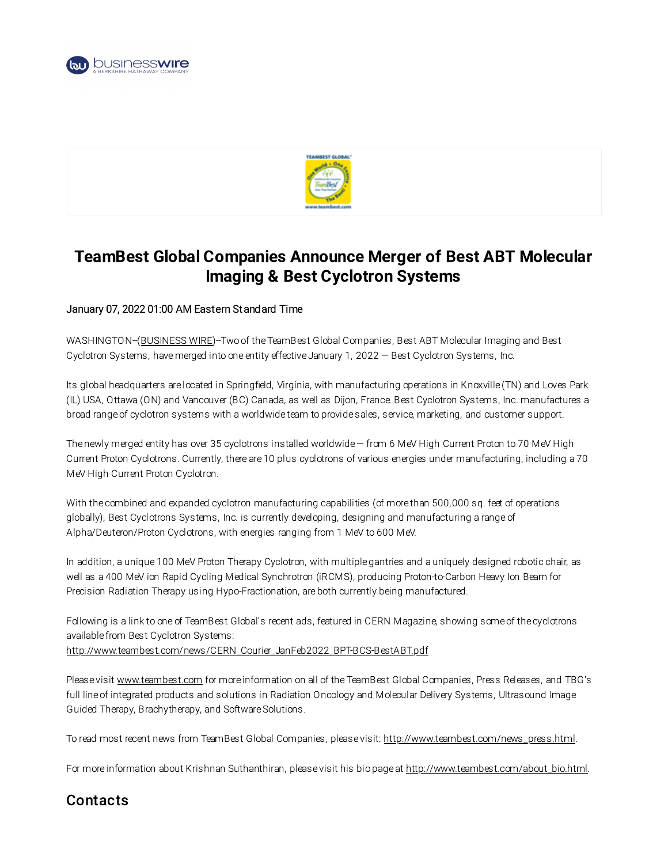



## TeamBest Global Companies Announce Merger of Best ABT Molecular Imaging & Best Cyclotron Systems

## January 07, 2022 01:00 AM Eastern Standard Time

WASHINGTON-([BUSINESS](https://www.businesswire.com/) WIRE)-Two of the TeamBest Global Companies, Best ABT Molecular Imaging and Best Cyclotron Systems, have merged into one entity effective January 1, 2022 — Best Cyclotron Systems, Inc.

Its global headquarters are located in Springfield, Virginia, with manufacturing operations in Knoxville (TN) and Loves Park (IL) USA, Ottawa (ON) and Vancouver (BC) Canada, as well as Dijon, France. Best Cyclotron Systems, Inc. manufactures a broad range of cyclotron systems with a worldwide team to provide sales, service, marketing, and customer support.

The newly merged entity has over 35 cyclotrons installed worldwide— from 6 MeV High Current Proton to 70 MeV High Current Proton Cyclotrons. Currently, there are 10 plus cyclotrons of various energies under manufacturing, including a 70 MeV High Current Proton Cyclotron.

With the combined and expanded cyclotron manufacturing capabilities (of more than 500,000 sq. feet of operations globally), Best Cyclotrons Systems, Inc. is currently developing, designing and manufacturing a range of Alpha/Deuteron/Proton Cyclotrons, with energies ranging from 1 MeV to 600 MeV.

In addition, a unique 100 MeV Proton Therapy Cyclotron, with multiple gantries and a uniquely designed robotic chair, as well as a 400 MeV ion Rapid Cycling Medical Synchrotron (iRCMS), producing Proton-to-Carbon Heavy Ion Beam for Precision Radiation Therapy using Hypo-Fractionation, are both currently being manufactured.

Following is a link to one of TeamBest Global's recent ads, featured in CERN Magazine, showing some of the cyclotrons available from Best Cyclotron Systems: [http://www.teambest.com/news/CERN\\_Courier\\_JanFeb2022\\_BPT-BCS-BestABT.pdf](https://cts.businesswire.com/ct/CT?id=smartlink&url=http%3A%2F%2Fwww.teambest.com%2Fnews%2FCERN_Courier_JanFeb2022_BPT-BCS-BestABT.pdf&esheet=52559165&newsitemid=20220106005912&lan=en-US&anchor=http%3A%2F%2Fwww.teambest.com%2Fnews%2FCERN_Courier_JanFeb2022_BPT-BCS-BestABT.pdf&index=1&md5=bba7eb90e65b6a58d1cb3d58b5f933cb)

Please visit [www.teambest.com](https://cts.businesswire.com/ct/CT?id=smartlink&url=http%3A%2F%2Fwww.teambest.com&esheet=52559165&newsitemid=20220106005912&lan=en-US&anchor=www.teambest.com&index=2&md5=1a709d22b52f423dc2cc7221f962322c) for more information on all of the TeamBest Global Companies, Press Releases, and TBG's full line of integrated products and solutions in Radiation Oncology and Molecular Delivery Systems, Ultrasound Image Guided Therapy, Brachytherapy, and Software Solutions.

To read most recent news from TeamBest Global Companies, please visit: [http://www.teambest.com/news\\_press.html](https://cts.businesswire.com/ct/CT?id=smartlink&url=http%3A%2F%2Fwww.teambest.com%2Fnews_press.html&esheet=52559165&newsitemid=20220106005912&lan=en-US&anchor=http%3A%2F%2Fwww.teambest.com%2Fnews_press.html&index=3&md5=0de05dc2a07545a8009db597b3b88bd7).

For more information about Krishnan Suthanthiran, please visit his bio page at [http://www.teambest.com/about\\_bio.html](https://cts.businesswire.com/ct/CT?id=smartlink&url=http%3A%2F%2Fwww.teambest.com%2Fabout_bio.html&esheet=52559165&newsitemid=20220106005912&lan=en-US&anchor=http%3A%2F%2Fwww.teambest.com%2Fabout_bio.html&index=4&md5=c2a540ef56d2a35be5caf58ef960c1b3).

## **Contacts**